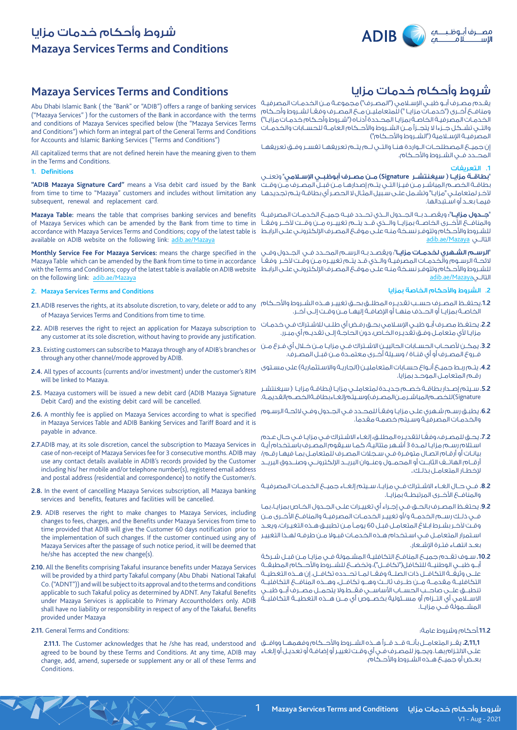

# **Mazaya Services Terms and Conditions** شروط وأحكام خدمات مزايا

## **Mazaya Services Terms and Conditions**

Abu Dhabi Islamic Bank ( the "Bank" or "ADIB") offers a range of banking services ("Mazaya Services" ) for the customers of the Bank in accordance with the terms and conditions of Mazaya Services specified below (the "Mazaya Services Terms and Conditions") which form an integral part of the General Terms and Conditions for Accounts and Islamic Banking Services ("Terms and Conditions")

All capitalized terms that are not defined herein have the meaning given to them in the Terms and Conditions.

#### **1. Definitions**

**"ADIB Mazaya Signature Card"** means a Visa debit card issued by the Bank subsequent, renewal and replacement card.

of Mazaya Services which can be amended by the Bank from time to time in available on ADIB website on the following link: adib.ae/Mazaya

**Monthly Service Fee For Mazaya Services:** means the charge specified in the Mazaya Table which can be amended by the Bank from time to time in accordance on the following link: adib.ae/Mazaya

### **2. Mazaya Services Terms and Conditions**

- of Mazaya Services Terms and Conditions from time to time.
- **2.2.** ADIB reserves the right to reject an application for Mazaya subscription to any customer at its sole discretion, without having to provide any justification.
- **2.3.** Existing customers can subscribe to Mazaya through any of ADIB's branches or through any other channel/mode approved by ADIB.
- **2.4.** All types of accounts (currents and/or investment) under the customer's RIM will be linked to Mazaya.
- **2.5.** Mazaya customers will be issued a new debit card (ADIB Mazaya Signature Debit Card) and the existing debit card will be cancelled.
- **2.6.** A monthly fee is applied on Mazaya Services according to what is specified in Mazaya Services Table and ADIB Banking Services and Tariff Board and it is payable in advance.
- **2.7.**ADIB may, at its sole discretion, cancel the subscription to Mazaya Services in case of non-receipt of Mazaya Services fee for 3 consecutive months. ADIB may use any contact details available in ADIB's records provided by the Customer including his/ her mobile and/or telephone number(s), registered email address and postal address (residential and correspondence) to notify the Customer/s.
- **2.8.** In the event of cancelling Mazaya Services subscription, all Mazaya banking services and benefits, features and facilities will be cancelled.
- **2.9.** ADIB reserves the right to make changes to Mazaya Services, including changes to fees, charges, and the Benefits under Mazaya Services from time to time provided that ADIB will give the Customer 60 days notification prior to the implementation of such changes. If the customer continued using any of Mazaya Services after the passage of such notice period, it will be deemed that he/she has accepted the new change(s).
- **2.10.** All the Benefits comprising Takaful insurance benefits under Mazaya Services will be provided by a third party Takaful company (Abu Dhabi National Takaful Co. ("ADNT")) and will be subject to its approval and to the terms and conditions applicable to such Takaful policy as determined by ADNT. Any Takaful Benefits under Mazaya Services is applicable to Primary Accountholders only. ADIB shall have no liability or responsibility in respect of any of the TakafuL Benefits provided under Mazaya
- **2.11.** General Terms and Conditions:

change, add, amend, supersede or supplement any or all of these Terms and Conditions.

# شروط وأحكام خدمات مزايا

يقـدم مصـرف أبـو ظبـي اإلسـامي )"المصـرف"( مجموعـة مـن الخدمـات المصرفيـة ومنافــع أخــرى ("خدمــات مزايــا ") للمتعامليــن مــع المصــرف وفقــاً لشــروط وأحــكام الخدمـات المصرفيـة الخاصـة بمزايـا المحـددة أدنـاه )"شـروط وأحـكام خدمـات مزايـا"( والتــي تشــكل جــزءا ال يتجــزأ مــن الشــروط واألحــكام العامــة للحســابات والخدمــات المصرفيــة الإســلامية ("الشــروط والأحــكام")

إن جميــع المصطلحــات الــواردة هنــا والتــي لــم يتــم تعريفهــا تفســر وفــق تعريفهــا المحــدد فــي الشــروط واألحــكام.

#### **.1** التعريفات

from time to time to "Mazaya" customers and includes without limitation any آلخـر لمتعاملـي "مزايـا" وتشـمل علـى سـبيل المثـال ال الحصـر أي بطاقـة يتـم تجديدهـا "بطاقــة مزايــا ) سيغنتشــر **Signature** )مــن مصــرف أبوظبــي اإلســامي" وتعنــي بطاقـة الخصـم المباشـر مـن فيـزا التـي يتـم إصدارهـا مـن قبـل المصــرف مـن وقـت فيمـا بعـد أو اسـتبدالها.

**Mazaya Table:** means the table that comprises banking services and benefits "جــدول مزايــا": ويقصــد بــه الجــدول الــذي تحــدد فيــه جميــع الخدمــات المصرفيــة accordance with Mazaya Services Terms and Conditions; copy of the latest table is للشـروط واألحـكام وتتوفـر نسـخة منـه علـى موقـع المصـرف اإللكترونـي علـى الرابـط والمنافـــ6 الأخــرى الخاصــة بمزايــا والــذي قــد يتــم تغييــره مــن وقــت لآخــر وفقــأ adib.ae/Mazaya التالــي

with the Terms and Conditions; copy of the latest table is available on ADIB website للشـروط واألحـكام وتتوفـر نسـخة منـه علـى موقـع المصـرف اإللكترونـي علـى الرابـط ا**لرسـم الشـهري لخدمـات مزايـا**"؛ ويقصـد بـه الرسـم المحـدد فـي الجـدول وفـي الئحـة الرسـوم والخدمـات المصرفيـة والـذي قـد يتـم تغييـره مـن وقـت آلخـر وفقـً adib.ae/Mazayaالتالــي

## **.2** الشروط واألحكام الخاصة بمزايا

- **2.1.**ADIB reserves the rights, at its absolute discretion, to vary, delete or add to any .**1.2**يحتفــظ المصــرف حســب تقديــره المطلــق بحــق تغييــر هــذه الشــروط واألحــكام الخاصــة بمزايــا أو الحــذف منهــا أو اإلضافــة إليهــا مــن وقــت إلــى آخــر.
	- .**2.2** يحتفـظ مصـرف أبـو ظبـي اإلسـامي بحـق رفـض أي طلـب لالشـتراك فـي خدمـات مزايـا ألي متعامـل وفـق تقديـره الخـاص، دون الحاجـة إلـى تقديـم أي مبـرر.
	- .**3.2** يمكـن ألصحـاب الحسـابات الحالييـن االشـتراك فـي مزايـا مـن خـال أي فـرع مـن فـروع المصـرف أو أي قنـاة / وسـيلة أخـرى معتمـدة مـن قبـل المصـرف.
	- **.4.2** يتـم ربـط جميـع أنـواع حسـابات المتعامليـن )الجاريـة واالسـتثمارية( على مسـتوى رقـم المتعامـل الموحـد بمزايا.
	- **.5.2** سـيتم إصـدار بطاقـة خصـم جديـدة لمتعاملـي مزايـا )بطاقـة مزايـا ) سيغنتشـر Signature )للخصـم المباشـر مـن المصـرف( وسـيتم إلغـاء بطاقـة الخصـم القديمـة.
	- .**6.2** يطبـق رسـم شـهري علـى مزايـا وفقـً للمحـدد فـي الجـدول وفـي الئحـة الرسـوم والخدمـات المصرفيـة وسـيتم خصمـه مقدمًا.
	- **.7.2** ً يحـق للمصـرف، وفقـا لتقديـره المطلـق، إلغـاء االشـتراك فـي مزايـا فـي حـال عـدم اسـتالم رسـم مزايـا لمـدة 3 أشـهر متتاليـة، كمـا سـيقوم المصـرف باسـتخدام أيـة بيانـات أو أرقـام اتصـال متوفـرة فـي سـجالت المصـرف للمتعامـل بمـا فيهـا رقـم/ أرقــام الهاتــف الثابــت أو المحمــول وعنــوان البريــد اإللكترونــي وصنــدوق البريــد إلخطـار المتعامـل بذلـك..
	- **.8.2** فــي حــال الغــاء االشــتراك فــي مزايــا، ســيتم إلغــاء جميــع الخدمــات المصرفيــة والمنافــع األخــرى المرتبطــة بمزايــا.
	- .**9.2** يحتفـظ المصـرف بالحـق فـي إجـراء أي تغييـرات علـى الجـدول الخـاص بمزايـا، بمـا فــي ذلــك رســم الخدمــة و/أو تغييــر الخدمــات المصرفيــة والمنافــع األخــرى مــن وقـت آلخـر بشـرط ابـاغ المتعامـل قبـل 60 يومـً مـن تطبيـق هـذه التغيـرات، ويعـد اسـتمرار المتعامـل فـي اسـتخدام هـذه الخدمـات قبـوال مـن طرفـه لهـذا التغييـر بعـد انتهـاء فتـرة اإلشـعار.
	- **.10.2** سـوف تقـدم جميـع المنافـع التكافليـة المشـمولة فـي مزايـا مـن قبـل شـركة أبــو ظبــي الوطنيــة للتكافل)"تكافــل"(، وتخضــع للشــروط واألحــكام المطبقــة علــى وثيقــة التكافــل ذات الصلــة وفقــا لمــا تحــدده تكافــل. إن هــذه التغطيــة التكافليــة مقدمــة مــن طــرف ثالــث وهــو تكافــل، وهــذه المنافــع التكافليــة تنطبــق علــى صاحــب الحســاب األساســي فقــط.وال يتحمــل مصــرف أبــو ظبــي االســامي أي التــزام أو مســئولية بخصــوص أي مــن هــذه التغطيــة التكافليــة المشــمولة فــي مزايــا.

## .**11.2**أحكام وشروط عامة:

**2,11.1.** يقــر المتعامــل بأنــه قـــد قــرأ هــذه الشــروط والأحــكام وفهمهــا ووافــق and read, understood and وفهمهــا ووافــق and read, understood and ومافــق قــرأ هــذه الشــروط والأحــكام وفهمهــا ووافــ agreed to be bound by these Terms and Conditions. At any time, ADIB may علـى االلتـزام بهـا. ويجـوز للمصـرف فـي أي وقـت تغييـر أو إضافـة أو تعديـل أو إلغـاء بعـض أو جميـع هـذه الشـروط واألحـكام.